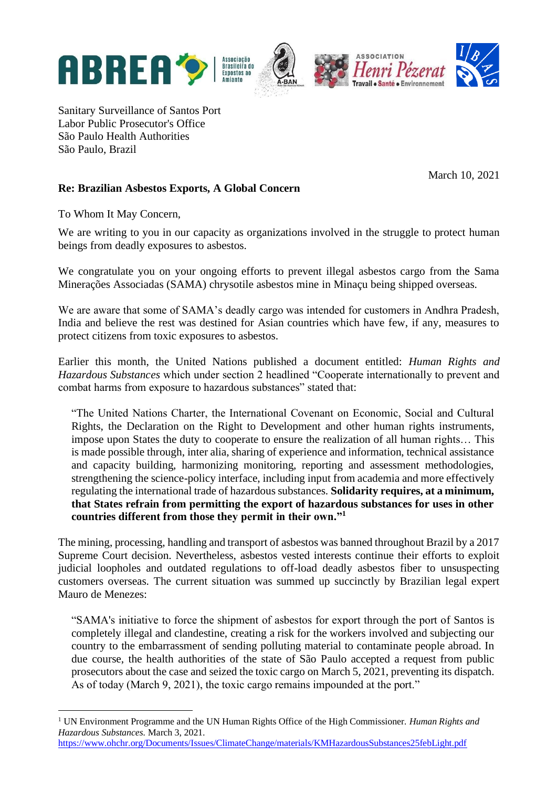

Sanitary Surveillance of Santos Port Labor Public Prosecutor's Office São Paulo Health Authorities São Paulo, Brazil

March 10, 2021

## **Re: Brazilian Asbestos Exports, A Global Concern**

To Whom It May Concern,

We are writing to you in our capacity as organizations involved in the struggle to protect human beings from deadly exposures to asbestos.

We congratulate you on your ongoing efforts to prevent illegal asbestos cargo from the Sama Minerações Associadas (SAMA) chrysotile asbestos mine in Minaçu being shipped overseas.

We are aware that some of SAMA's deadly cargo was intended for customers in Andhra Pradesh, India and believe the rest was destined for Asian countries which have few, if any, measures to protect citizens from toxic exposures to asbestos.

Earlier this month, the United Nations published a document entitled: *Human Rights and Hazardous Substances* which under section 2 headlined "Cooperate internationally to prevent and combat harms from exposure to hazardous substances" stated that:

"The United Nations Charter, the International Covenant on Economic, Social and Cultural Rights, the Declaration on the Right to Development and other human rights instruments, impose upon States the duty to cooperate to ensure the realization of all human rights… This is made possible through, inter alia, sharing of experience and information, technical assistance and capacity building, harmonizing monitoring, reporting and assessment methodologies, strengthening the science-policy interface, including input from academia and more effectively regulating the international trade of hazardous substances. **Solidarity requires, at a minimum, that States refrain from permitting the export of hazardous substances for uses in other countries different from those they permit in their own."<sup>1</sup>**

The mining, processing, handling and transport of asbestos was banned throughout Brazil by a 2017 Supreme Court decision. Nevertheless, asbestos vested interests continue their efforts to exploit judicial loopholes and outdated regulations to off-load deadly asbestos fiber to unsuspecting customers overseas. The current situation was summed up succinctly by Brazilian legal expert Mauro de Menezes:

"SAMA's initiative to force the shipment of asbestos for export through the port of Santos is completely illegal and clandestine, creating a risk for the workers involved and subjecting our country to the embarrassment of sending polluting material to contaminate people abroad. In due course, the health authorities of the state of São Paulo accepted a request from public prosecutors about the case and seized the toxic cargo on March 5, 2021, preventing its dispatch. As of today (March 9, 2021), the toxic cargo remains impounded at the port."

<sup>1</sup> UN Environment Programme and the UN Human Rights Office of the High Commissioner*. Human Rights and Hazardous Substances.* March 3, 2021.

<https://www.ohchr.org/Documents/Issues/ClimateChange/materials/KMHazardousSubstances25febLight.pdf>